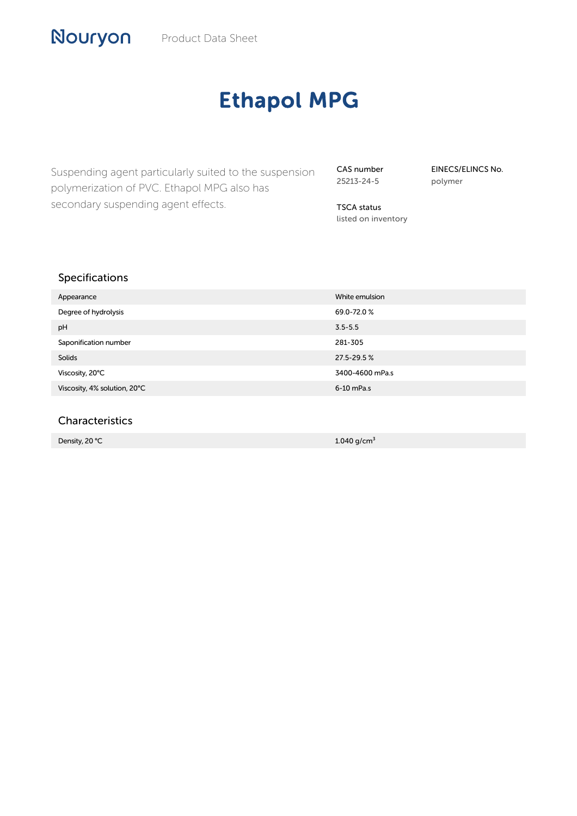# Ethapol MPG

Suspending agent particularly suited to the suspension polymerization of PVC. Ethapol MPG also has secondary suspending agent effects.

CAS number 25213-24-5

EINECS/ELINCS No. polymer

TSCA status listed on inventory

# Specifications

| Appearance                   | White emulsion  |
|------------------------------|-----------------|
| Degree of hydrolysis         | 69.0-72.0%      |
| pH                           | $3.5 - 5.5$     |
| Saponification number        | 281-305         |
| Solids                       | 27.5-29.5%      |
| Viscosity, 20°C              | 3400-4600 mPa.s |
| Viscosity, 4% solution, 20°C | 6-10 mPa.s      |
|                              |                 |

### Characteristics

Density, 20 ℃ 1.040 g/cm³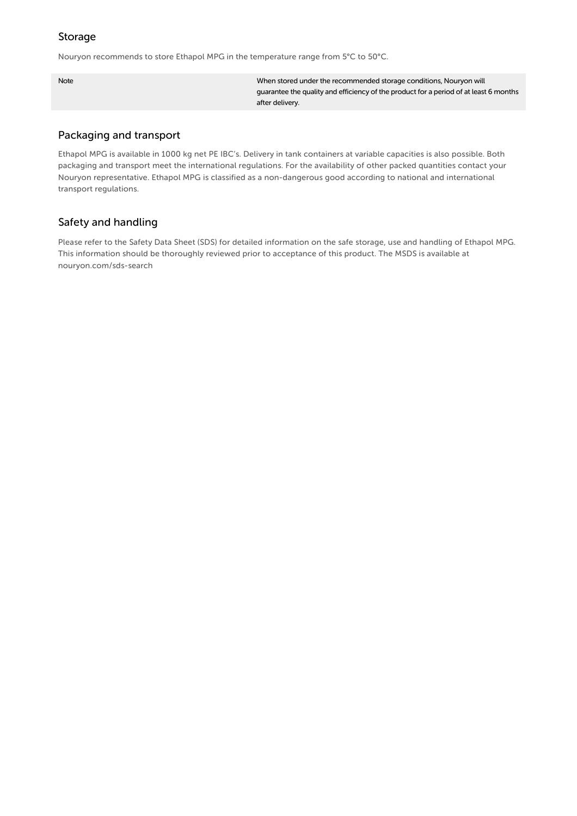#### Storage

Nouryon recommends to store Ethapol MPG in the temperature range from 5°C to 50°C.

Note When stored under the recommended storage conditions, Nouryon will guarantee the quality and efficiency of the product for a period of at least 6 months after delivery.

## Packaging and transport

Ethapol MPG is available in 1000 kg net PE IBC's. Delivery in tank containers at variable capacities is also possible. Both packaging and transport meet the international regulations. For the availability of other packed quantities contact your Nouryon representative. Ethapol MPG is classified as a non-dangerous good according to national and international transport regulations.

# Safety and handling

Please refer to the Safety Data Sheet (SDS) for detailed information on the safe storage, use and handling of Ethapol MPG. This information should be thoroughly reviewed prior to acceptance of this product. The MSDS is available at nouryon.com/sds-search